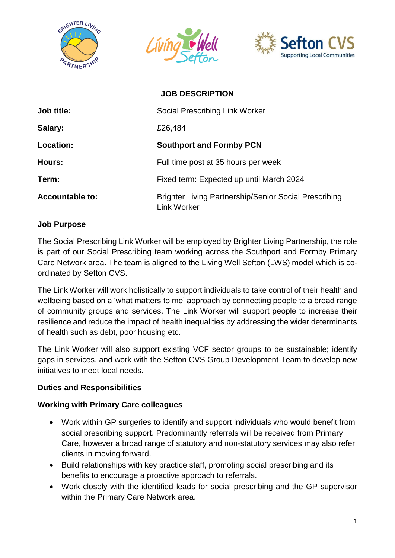





|                        | <b>JOB DESCRIPTION</b>                                                             |
|------------------------|------------------------------------------------------------------------------------|
| Job title:             | Social Prescribing Link Worker                                                     |
| Salary:                | £26,484                                                                            |
| Location:              | <b>Southport and Formby PCN</b>                                                    |
| Hours:                 | Full time post at 35 hours per week                                                |
| Term:                  | Fixed term: Expected up until March 2024                                           |
| <b>Accountable to:</b> | <b>Brighter Living Partnership/Senior Social Prescribing</b><br><b>Link Worker</b> |

## **Job Purpose**

The Social Prescribing Link Worker will be employed by Brighter Living Partnership, the role is part of our Social Prescribing team working across the Southport and Formby Primary Care Network area. The team is aligned to the Living Well Sefton (LWS) model which is coordinated by Sefton CVS.

The Link Worker will work holistically to support individuals to take control of their health and wellbeing based on a 'what matters to me' approach by connecting people to a broad range of community groups and services. The Link Worker will support people to increase their resilience and reduce the impact of health inequalities by addressing the wider determinants of health such as debt, poor housing etc.

The Link Worker will also support existing VCF sector groups to be sustainable; identify gaps in services, and work with the Sefton CVS Group Development Team to develop new initiatives to meet local needs.

## **Duties and Responsibilities**

## **Working with Primary Care colleagues**

- Work within GP surgeries to identify and support individuals who would benefit from social prescribing support. Predominantly referrals will be received from Primary Care, however a broad range of statutory and non-statutory services may also refer clients in moving forward.
- Build relationships with key practice staff, promoting social prescribing and its benefits to encourage a proactive approach to referrals.
- Work closely with the identified leads for social prescribing and the GP supervisor within the Primary Care Network area.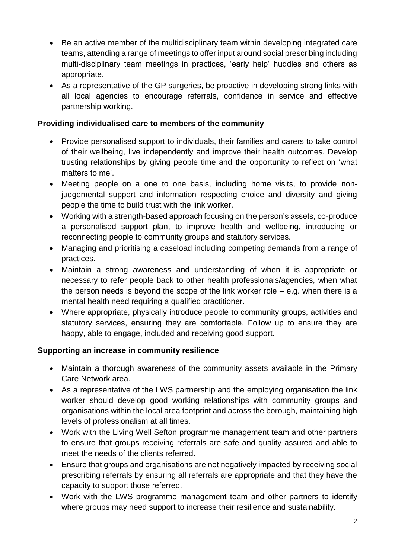- Be an active member of the multidisciplinary team within developing integrated care teams, attending a range of meetings to offer input around social prescribing including multi-disciplinary team meetings in practices, 'early help' huddles and others as appropriate.
- As a representative of the GP surgeries, be proactive in developing strong links with all local agencies to encourage referrals, confidence in service and effective partnership working.

## **Providing individualised care to members of the community**

- Provide personalised support to individuals, their families and carers to take control of their wellbeing, live independently and improve their health outcomes. Develop trusting relationships by giving people time and the opportunity to reflect on 'what matters to me'.
- Meeting people on a one to one basis, including home visits, to provide nonjudgemental support and information respecting choice and diversity and giving people the time to build trust with the link worker.
- Working with a strength-based approach focusing on the person's assets, co-produce a personalised support plan, to improve health and wellbeing, introducing or reconnecting people to community groups and statutory services.
- Managing and prioritising a caseload including competing demands from a range of practices.
- Maintain a strong awareness and understanding of when it is appropriate or necessary to refer people back to other health professionals/agencies, when what the person needs is beyond the scope of the link worker role  $-$  e.g. when there is a mental health need requiring a qualified practitioner.
- Where appropriate, physically introduce people to community groups, activities and statutory services, ensuring they are comfortable. Follow up to ensure they are happy, able to engage, included and receiving good support.

# **Supporting an increase in community resilience**

- Maintain a thorough awareness of the community assets available in the Primary Care Network area.
- As a representative of the LWS partnership and the employing organisation the link worker should develop good working relationships with community groups and organisations within the local area footprint and across the borough, maintaining high levels of professionalism at all times.
- Work with the Living Well Sefton programme management team and other partners to ensure that groups receiving referrals are safe and quality assured and able to meet the needs of the clients referred.
- Ensure that groups and organisations are not negatively impacted by receiving social prescribing referrals by ensuring all referrals are appropriate and that they have the capacity to support those referred.
- Work with the LWS programme management team and other partners to identify where groups may need support to increase their resilience and sustainability.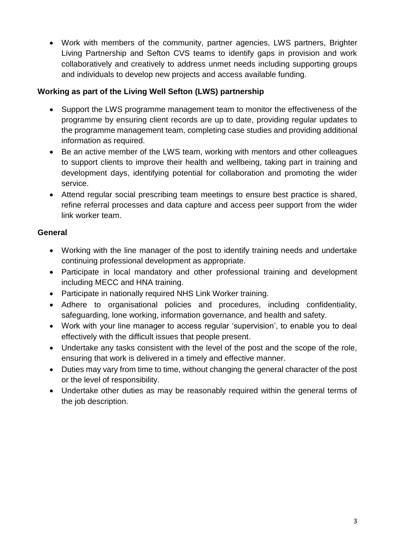• Work with members of the community, partner agencies, LWS partners, Brighter Living Partnership and Sefton CVS teams to identify gaps in provision and work collaboratively and creatively to address unmet needs including supporting groups and individuals to develop new projects and access available funding.

# **Working as part of the Living Well Sefton (LWS) partnership**

- Support the LWS programme management team to monitor the effectiveness of the programme by ensuring client records are up to date, providing regular updates to the programme management team, completing case studies and providing additional information as required.
- Be an active member of the LWS team, working with mentors and other colleagues to support clients to improve their health and wellbeing, taking part in training and development days, identifying potential for collaboration and promoting the wider service.
- Attend regular social prescribing team meetings to ensure best practice is shared, refine referral processes and data capture and access peer support from the wider link worker team.

# **General**

- Working with the line manager of the post to identify training needs and undertake continuing professional development as appropriate.
- Participate in local mandatory and other professional training and development including MECC and HNA training.
- Participate in nationally required NHS Link Worker training.
- Adhere to organisational policies and procedures, including confidentiality, safeguarding, lone working, information governance, and health and safety.
- Work with your line manager to access regular 'supervision', to enable you to deal effectively with the difficult issues that people present.
- Undertake any tasks consistent with the level of the post and the scope of the role, ensuring that work is delivered in a timely and effective manner.
- Duties may vary from time to time, without changing the general character of the post or the level of responsibility.
- Undertake other duties as may be reasonably required within the general terms of the job description.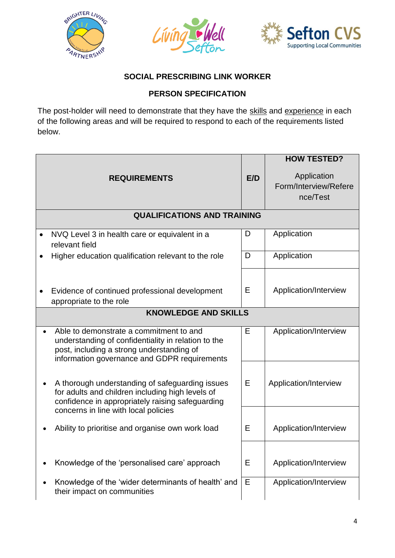





# **SOCIAL PRESCRIBING LINK WORKER**

# **PERSON SPECIFICATION**

The post-holder will need to demonstrate that they have the skills and experience in each of the following areas and will be required to respond to each of the requirements listed below.

|                                    |                                                                                                                                                                                             |     | <b>HOW TESTED?</b>                               |  |  |
|------------------------------------|---------------------------------------------------------------------------------------------------------------------------------------------------------------------------------------------|-----|--------------------------------------------------|--|--|
| <b>REQUIREMENTS</b>                |                                                                                                                                                                                             | E/D | Application<br>Form/Interview/Refere<br>nce/Test |  |  |
| <b>QUALIFICATIONS AND TRAINING</b> |                                                                                                                                                                                             |     |                                                  |  |  |
|                                    | NVQ Level 3 in health care or equivalent in a<br>relevant field                                                                                                                             | D   | Application                                      |  |  |
|                                    | Higher education qualification relevant to the role                                                                                                                                         | D   | Application                                      |  |  |
|                                    | Evidence of continued professional development<br>appropriate to the role                                                                                                                   | E   | Application/Interview                            |  |  |
| <b>KNOWLEDGE AND SKILLS</b>        |                                                                                                                                                                                             |     |                                                  |  |  |
| $\bullet$                          | Able to demonstrate a commitment to and<br>understanding of confidentiality in relation to the<br>post, including a strong understanding of<br>information governance and GDPR requirements | E   | Application/Interview                            |  |  |
|                                    | A thorough understanding of safeguarding issues<br>for adults and children including high levels of<br>confidence in appropriately raising safeguarding                                     | E   | Application/Interview                            |  |  |
|                                    | concerns in line with local policies<br>Ability to prioritise and organise own work load                                                                                                    | Е   | Application/Interview                            |  |  |
|                                    |                                                                                                                                                                                             |     |                                                  |  |  |
|                                    | Knowledge of the 'personalised care' approach                                                                                                                                               | E   | Application/Interview                            |  |  |
|                                    | Knowledge of the 'wider determinants of health' and<br>their impact on communities                                                                                                          | E   | Application/Interview                            |  |  |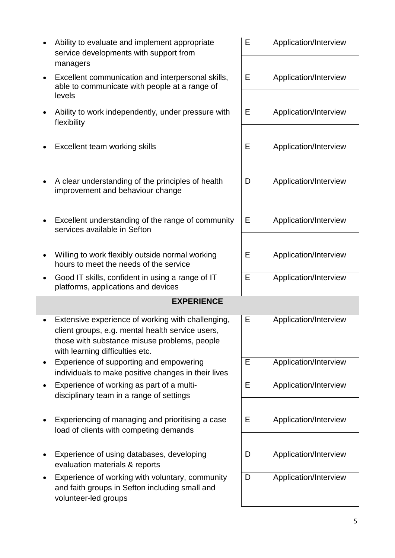|                       | Ability to evaluate and implement appropriate<br>service developments with support from                                                                                                  |   | Application/Interview |  |  |
|-----------------------|------------------------------------------------------------------------------------------------------------------------------------------------------------------------------------------|---|-----------------------|--|--|
| $\bullet$             | managers<br>Excellent communication and interpersonal skills,<br>able to communicate with people at a range of                                                                           |   | Application/Interview |  |  |
| levels<br>flexibility | Ability to work independently, under pressure with                                                                                                                                       | E | Application/Interview |  |  |
|                       | Excellent team working skills                                                                                                                                                            | Е | Application/Interview |  |  |
|                       | A clear understanding of the principles of health<br>improvement and behaviour change                                                                                                    | D | Application/Interview |  |  |
| $\bullet$             | Excellent understanding of the range of community<br>services available in Sefton                                                                                                        | Е | Application/Interview |  |  |
| $\bullet$             | Willing to work flexibly outside normal working<br>hours to meet the needs of the service                                                                                                | E | Application/Interview |  |  |
|                       | Good IT skills, confident in using a range of IT<br>platforms, applications and devices                                                                                                  | E | Application/Interview |  |  |
| <b>EXPERIENCE</b>     |                                                                                                                                                                                          |   |                       |  |  |
|                       |                                                                                                                                                                                          |   |                       |  |  |
|                       | Extensive experience of working with challenging,<br>client groups, e.g. mental health service users,<br>those with substance misuse problems, people<br>with learning difficulties etc. | E | Application/Interview |  |  |
|                       | Experience of supporting and empowering<br>individuals to make positive changes in their lives                                                                                           | Е | Application/Interview |  |  |
|                       | Experience of working as part of a multi-                                                                                                                                                | Е | Application/Interview |  |  |
|                       | disciplinary team in a range of settings<br>Experiencing of managing and prioritising a case                                                                                             | Е | Application/Interview |  |  |
|                       | load of clients with competing demands<br>Experience of using databases, developing<br>evaluation materials & reports                                                                    | D | Application/Interview |  |  |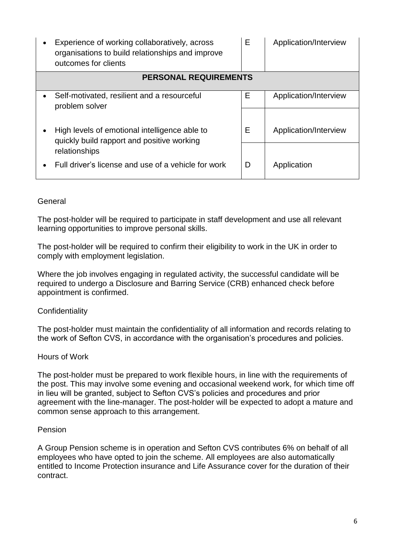| Experience of working collaboratively, across<br>organisations to build relationships and improve<br>outcomes for clients | Е | Application/Interview |  |  |  |
|---------------------------------------------------------------------------------------------------------------------------|---|-----------------------|--|--|--|
| <b>PERSONAL REQUIREMENTS</b>                                                                                              |   |                       |  |  |  |
| Self-motivated, resilient and a resourceful<br>problem solver                                                             | Е | Application/Interview |  |  |  |
| High levels of emotional intelligence able to<br>quickly build rapport and positive working<br>relationships              | E | Application/Interview |  |  |  |
| Full driver's license and use of a vehicle for work                                                                       | D | Application           |  |  |  |

## General

The post-holder will be required to participate in staff development and use all relevant learning opportunities to improve personal skills.

The post-holder will be required to confirm their eligibility to work in the UK in order to comply with employment legislation.

Where the job involves engaging in regulated activity, the successful candidate will be required to undergo a Disclosure and Barring Service (CRB) enhanced check before appointment is confirmed.

## **Confidentiality**

The post-holder must maintain the confidentiality of all information and records relating to the work of Sefton CVS, in accordance with the organisation's procedures and policies.

### Hours of Work

The post-holder must be prepared to work flexible hours, in line with the requirements of the post. This may involve some evening and occasional weekend work, for which time off in lieu will be granted, subject to Sefton CVS's policies and procedures and prior agreement with the line-manager. The post-holder will be expected to adopt a mature and common sense approach to this arrangement.

### Pension

A Group Pension scheme is in operation and Sefton CVS contributes 6% on behalf of all employees who have opted to join the scheme. All employees are also automatically entitled to Income Protection insurance and Life Assurance cover for the duration of their contract.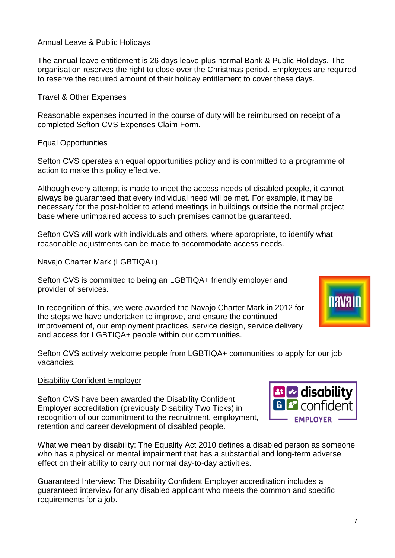### Annual Leave & Public Holidays

The annual leave entitlement is 26 days leave plus normal Bank & Public Holidays. The organisation reserves the right to close over the Christmas period. Employees are required to reserve the required amount of their holiday entitlement to cover these days.

Travel & Other Expenses

Reasonable expenses incurred in the course of duty will be reimbursed on receipt of a completed Sefton CVS Expenses Claim Form.

Equal Opportunities

Sefton CVS operates an equal opportunities policy and is committed to a programme of action to make this policy effective.

Although every attempt is made to meet the access needs of disabled people, it cannot always be guaranteed that every individual need will be met. For example, it may be necessary for the post-holder to attend meetings in buildings outside the normal project base where unimpaired access to such premises cannot be guaranteed.

Sefton CVS will work with individuals and others, where appropriate, to identify what reasonable adjustments can be made to accommodate access needs.

#### Navajo Charter Mark (LGBTIQA+)

Sefton CVS is committed to being an LGBTIQA+ friendly employer and provider of services.

In recognition of this, we were awarded the Navajo Charter Mark in 2012 for the steps we have undertaken to improve, and ensure the continued improvement of, our employment practices, service design, service delivery and access for LGBTIQA+ people within our communities.

Sefton CVS actively welcome people from LGBTIQA+ communities to apply for our job vacancies.

### Disability Confident Employer

Sefton CVS have been awarded the Disability Confident Employer accreditation (previously Disability Two Ticks) in recognition of our commitment to the recruitment, employment, retention and career development of disabled people.

What we mean by disability: The Equality Act 2010 defines a disabled person as someone who has a physical or mental impairment that has a substantial and long-term adverse effect on their ability to carry out normal day-to-day activities.

Guaranteed Interview: The Disability Confident Employer accreditation includes a guaranteed interview for any disabled applicant who meets the common and specific requirements for a job.